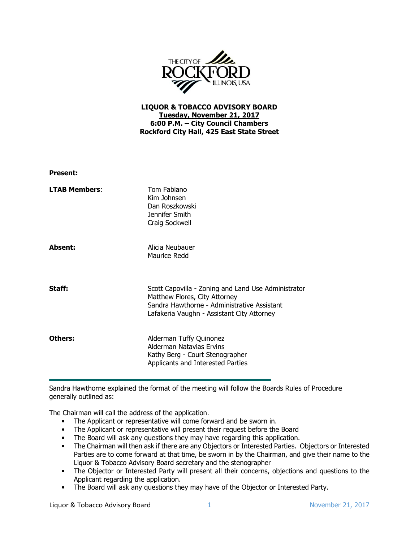

## LIQUOR & TOBACCO ADVISORY BOARD Tuesday, November 21, 2017 6:00 P.M. – City Council Chambers Rockford City Hall, 425 East State Street

| <b>Present:</b>      |                                                                                                                                                                                   |
|----------------------|-----------------------------------------------------------------------------------------------------------------------------------------------------------------------------------|
| <b>LTAB Members:</b> | Tom Fabiano<br>Kim Johnsen<br>Dan Roszkowski<br>Jennifer Smith<br>Craig Sockwell                                                                                                  |
| Absent:              | Alicia Neubauer<br>Maurice Redd                                                                                                                                                   |
| Staff:               | Scott Capovilla - Zoning and Land Use Administrator<br>Matthew Flores, City Attorney<br>Sandra Hawthorne - Administrative Assistant<br>Lafakeria Vaughn - Assistant City Attorney |
| Others:              | Alderman Tuffy Quinonez<br>Alderman Natavias Ervins<br>Kathy Berg - Court Stenographer<br>Applicants and Interested Parties                                                       |

Sandra Hawthorne explained the format of the meeting will follow the Boards Rules of Procedure generally outlined as:

The Chairman will call the address of the application.

- The Applicant or representative will come forward and be sworn in.
- The Applicant or representative will present their request before the Board
- The Board will ask any questions they may have regarding this application.
- The Chairman will then ask if there are any Objectors or Interested Parties. Objectors or Interested Parties are to come forward at that time, be sworn in by the Chairman, and give their name to the Liquor & Tobacco Advisory Board secretary and the stenographer
- The Objector or Interested Party will present all their concerns, objections and questions to the Applicant regarding the application.
- The Board will ask any questions they may have of the Objector or Interested Party.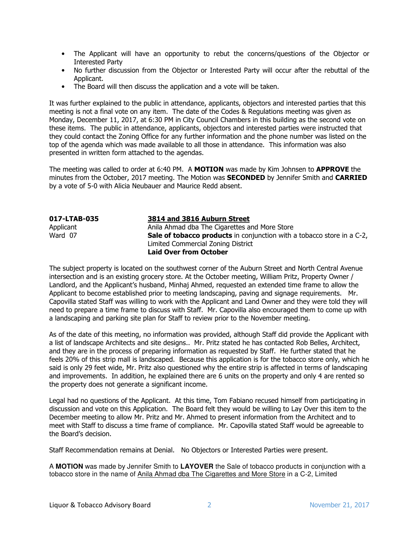- The Applicant will have an opportunity to rebut the concerns/questions of the Objector or Interested Party
- No further discussion from the Objector or Interested Party will occur after the rebuttal of the Applicant.
- The Board will then discuss the application and a vote will be taken.

It was further explained to the public in attendance, applicants, objectors and interested parties that this meeting is not a final vote on any item. The date of the Codes & Regulations meeting was given as Monday, December 11, 2017, at 6:30 PM in City Council Chambers in this building as the second vote on these items. The public in attendance, applicants, objectors and interested parties were instructed that they could contact the Zoning Office for any further information and the phone number was listed on the top of the agenda which was made available to all those in attendance. This information was also presented in written form attached to the agendas.

The meeting was called to order at 6:40 PM. A MOTION was made by Kim Johnsen to APPROVE the minutes from the October, 2017 meeting. The Motion was **SECONDED** by Jennifer Smith and **CARRIED** by a vote of 5-0 with Alicia Neubauer and Maurice Redd absent.

| 017-LTAB-035 | 3814 and 3816 Auburn Street                                                   |
|--------------|-------------------------------------------------------------------------------|
| Applicant    | Anila Ahmad dba The Cigarettes and More Store                                 |
| Ward 07      | <b>Sale of tobacco products</b> in conjunction with a tobacco store in a C-2, |
|              | Limited Commercial Zoning District                                            |
|              | <b>Laid Over from October</b>                                                 |

The subject property is located on the southwest corner of the Auburn Street and North Central Avenue intersection and is an existing grocery store. At the October meeting, William Pritz, Property Owner / Landlord, and the Applicant's husband, Minhaj Ahmed, requested an extended time frame to allow the Applicant to become established prior to meeting landscaping, paving and signage requirements. Mr. Capovilla stated Staff was willing to work with the Applicant and Land Owner and they were told they will need to prepare a time frame to discuss with Staff. Mr. Capovilla also encouraged them to come up with a landscaping and parking site plan for Staff to review prior to the November meeting.

As of the date of this meeting, no information was provided, although Staff did provide the Applicant with a list of landscape Architects and site designs.. Mr. Pritz stated he has contacted Rob Belles, Architect, and they are in the process of preparing information as requested by Staff. He further stated that he feels 20% of this strip mall is landscaped. Because this application is for the tobacco store only, which he said is only 29 feet wide, Mr. Pritz also questioned why the entire strip is affected in terms of landscaping and improvements. In addition, he explained there are 6 units on the property and only 4 are rented so the property does not generate a significant income.

Legal had no questions of the Applicant. At this time, Tom Fabiano recused himself from participating in discussion and vote on this Application. The Board felt they would be willing to Lay Over this item to the December meeting to allow Mr. Pritz and Mr. Ahmed to present information from the Architect and to meet with Staff to discuss a time frame of compliance. Mr. Capovilla stated Staff would be agreeable to the Board's decision.

Staff Recommendation remains at Denial. No Objectors or Interested Parties were present.

A **MOTION** was made by Jennifer Smith to **LAYOVER** the Sale of tobacco products in conjunction with a tobacco store in the name of Anila Ahmad dba The Cigarettes and More Store in a C-2, Limited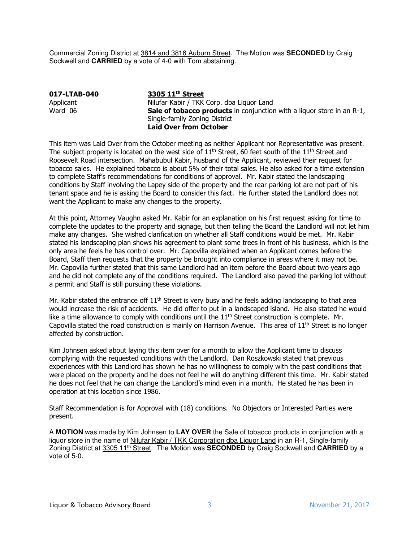Commercial Zoning District at 3814 and 3816 Auburn Street. The Motion was **SECONDED** by Craig Sockwell and **CARRIED** by a vote of 4-0 with Tom abstaining.

017-LTAB-040 3305 11<sup>th</sup> Street Applicant **Nilufar Kabir / TKK Corp. dba Liquor Land**<br>Ward 06 **Sale of tobacco products** in conjunction Sale of tobacco products in conjunction with a liquor store in an R-1, Single-family Zoning District Laid Over from October

This item was Laid Over from the October meeting as neither Applicant nor Representative was present. The subject property is located on the west side of  $11<sup>th</sup>$  Street, 60 feet south of the  $11<sup>th</sup>$  Street and Roosevelt Road intersection. Mahabubul Kabir, husband of the Applicant, reviewed their request for tobacco sales. He explained tobacco is about 5% of their total sales. He also asked for a time extension to complete Staff's recommendations for conditions of approval. Mr. Kabir stated the landscaping conditions by Staff involving the Lapey side of the property and the rear parking lot are not part of his tenant space and he is asking the Board to consider this fact. He further stated the Landlord does not want the Applicant to make any changes to the property.

At this point, Attorney Vaughn asked Mr. Kabir for an explanation on his first request asking for time to complete the updates to the property and signage, but then telling the Board the Landlord will not let him make any changes. She wished clarification on whether all Staff conditions would be met. Mr. Kabir stated his landscaping plan shows his agreement to plant some trees in front of his business, which is the only area he feels he has control over. Mr. Capovilla explained when an Applicant comes before the Board, Staff then requests that the property be brought into compliance in areas where it may not be. Mr. Capovilla further stated that this same Landlord had an item before the Board about two years ago and he did not complete any of the conditions required. The Landlord also paved the parking lot without a permit and Staff is still pursuing these violations.

Mr. Kabir stated the entrance off  $11<sup>th</sup>$  Street is very busy and he feels adding landscaping to that area would increase the risk of accidents. He did offer to put in a landscaped island. He also stated he would like a time allowance to comply with conditions until the 11<sup>th</sup> Street construction is complete. Mr. Capovilla stated the road construction is mainly on Harrison Avenue. This area of  $11<sup>th</sup>$  Street is no longer affected by construction.

Kim Johnsen asked about laying this item over for a month to allow the Applicant time to discuss complying with the requested conditions with the Landlord. Dan Roszkowski stated that previous experiences with this Landlord has shown he has no willingness to comply with the past conditions that were placed on the property and he does not feel he will do anything different this time. Mr. Kabir stated he does not feel that he can change the Landlord's mind even in a month. He stated he has been in operation at this location since 1986.

Staff Recommendation is for Approval with (18) conditions. No Objectors or Interested Parties were present.

A **MOTION** was made by Kim Johnsen to **LAY OVER** the Sale of tobacco products in conjunction with a liquor store in the name of Nilufar Kabir / TKK Corporation dba Liquor Land in an R-1, Single-family Zoning District at 3305 11th Street. The Motion was **SECONDED** by Craig Sockwell and **CARRIED** by a vote of 5-0.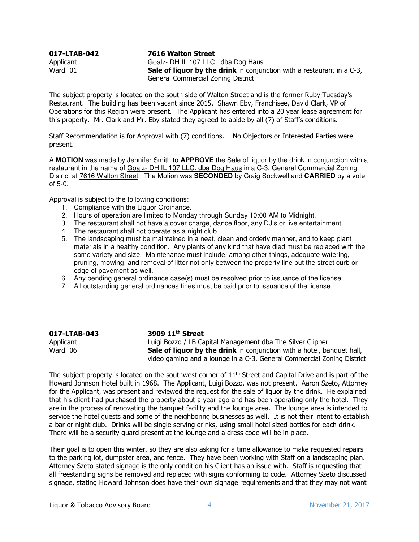042 017-LTAB-042 7616 Walton Street Applicant Goalz- DH IL 107 LLC. dba Dog Haus Ward  $01$  Sale of liquor by the drink in conjunction with a restaurant in a C-3, General Commercial Zoning District

The subject property is located on the south side of Walton Street and is the former Ruby Tuesday's Restaurant. The building has been vacant since 2015. Shawn Eby, Franchisee, David Clark, VP of Operations for this Region were present. The Applicant has entered into a 20 year lease agreement for this property. Mr. Clark and Mr. Eby stated they agreed to abide by all (7) of Staff's conditions.

Staff Recommendation is for Approval with (7) conditions. No Objectors or Interested Parties were present.

A **MOTION** was made by Jennifer Smith to **APPROVE** the Sale of liquor by the drink in conjunction with a restaurant in the name of Goalz- DH IL 107 LLC. dba Dog Haus in a C-3, General Commercial Zoning District at 7616 Walton Street. The Motion was **SECONDED** by Craig Sockwell and **CARRIED** by a vote of 5-0.

Approval is subject to the following conditions:

- 1. Compliance with the Liquor Ordinance.
- 2. Hours of operation are limited to Monday through Sunday 10:00 AM to Midnight.
- 3. The restaurant shall not have a cover charge, dance floor, any DJ's or live entertainment.
- 4. The restaurant shall not operate as a night club.
- 5. The landscaping must be maintained in a neat, clean and orderly manner, and to keep plant materials in a healthy condition. Any plants of any kind that have died must be replaced with the same variety and size. Maintenance must include, among other things, adequate watering, pruning, mowing, and removal of litter not only between the property line but the street curb or edge of pavement as well.
- 6. Any pending general ordinance case(s) must be resolved prior to issuance of the license.
- 7. All outstanding general ordinances fines must be paid prior to issuance of the license.

| 017-LTAB-043 | 3909 11 <sup>th</sup> Street                                                  |
|--------------|-------------------------------------------------------------------------------|
| Applicant    | Luigi Bozzo / LB Capital Management dba The Silver Clipper                    |
| Ward 06      | <b>Sale of liquor by the drink</b> in conjunction with a hotel, banquet hall, |
|              | video gaming and a lounge in a C-3, General Commercial Zoning District        |

The subject property is located on the southwest corner of  $11<sup>th</sup>$  Street and Capital Drive and is part of the Howard Johnson Hotel built in 1968. The Applicant, Luigi Bozzo, was not present. Aaron Szeto, Attorney for the Applicant, was present and reviewed the request for the sale of liquor by the drink. He explained that his client had purchased the property about a year ago and has been operating only the hotel. They are in the process of renovating the banquet facility and the lounge area. The lounge area is intended to service the hotel guests and some of the neighboring businesses as well. It is not their intent to establish a bar or night club. Drinks will be single serving drinks, using small hotel sized bottles for each drink. There will be a security guard present at the lounge and a dress code will be in place.

Their goal is to open this winter, so they are also asking for a time allowance to make requested repairs to the parking lot, dumpster area, and fence. They have been working with Staff on a landscaping plan. Attorney Szeto stated signage is the only condition his Client has an issue with. Staff is requesting that all freestanding signs be removed and replaced with signs conforming to code. Attorney Szeto discussed signage, stating Howard Johnson does have their own signage requirements and that they may not want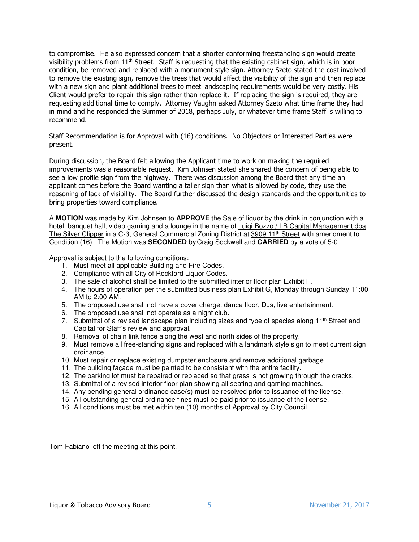to compromise. He also expressed concern that a shorter conforming freestanding sign would create visibility problems from 11th Street. Staff is requesting that the existing cabinet sign, which is in poor condition, be removed and replaced with a monument style sign. Attorney Szeto stated the cost involved to remove the existing sign, remove the trees that would affect the visibility of the sign and then replace with a new sign and plant additional trees to meet landscaping requirements would be very costly. His Client would prefer to repair this sign rather than replace it. If replacing the sign is required, they are requesting additional time to comply. Attorney Vaughn asked Attorney Szeto what time frame they had in mind and he responded the Summer of 2018, perhaps July, or whatever time frame Staff is willing to recommend.

Staff Recommendation is for Approval with (16) conditions. No Objectors or Interested Parties were present.

During discussion, the Board felt allowing the Applicant time to work on making the required improvements was a reasonable request. Kim Johnsen stated she shared the concern of being able to see a low profile sign from the highway. There was discussion among the Board that any time an applicant comes before the Board wanting a taller sign than what is allowed by code, they use the reasoning of lack of visibility. The Board further discussed the design standards and the opportunities to bring properties toward compliance.

A **MOTION** was made by Kim Johnsen to **APPROVE** the Sale of liquor by the drink in conjunction with a hotel, banquet hall, video gaming and a lounge in the name of Luigi Bozzo / LB Capital Management dba The Silver Clipper in a C-3, General Commercial Zoning District at 3909 11<sup>th</sup> Street with amendment to Condition (16). The Motion was **SECONDED** by Craig Sockwell and **CARRIED** by a vote of 5-0.

Approval is subject to the following conditions:

- 1. Must meet all applicable Building and Fire Codes.
- 2. Compliance with all City of Rockford Liquor Codes.
- 3. The sale of alcohol shall be limited to the submitted interior floor plan Exhibit F.
- 4. The hours of operation per the submitted business plan Exhibit G, Monday through Sunday 11:00 AM to 2:00 AM.
- 5. The proposed use shall not have a cover charge, dance floor, DJs, live entertainment.
- 6. The proposed use shall not operate as a night club.
- 7. Submittal of a revised landscape plan including sizes and type of species along  $11<sup>th</sup>$  Street and Capital for Staff's review and approval.
- 8. Removal of chain link fence along the west and north sides of the property.
- 9. Must remove all free-standing signs and replaced with a landmark style sign to meet current sign ordinance.
- 10. Must repair or replace existing dumpster enclosure and remove additional garbage.
- 11. The building façade must be painted to be consistent with the entire facility.
- 12. The parking lot must be repaired or replaced so that grass is not growing through the cracks.
- 13. Submittal of a revised interior floor plan showing all seating and gaming machines.
- 14. Any pending general ordinance case(s) must be resolved prior to issuance of the license.
- 15. All outstanding general ordinance fines must be paid prior to issuance of the license.
- 16. All conditions must be met within ten (10) months of Approval by City Council.

Tom Fabiano left the meeting at this point.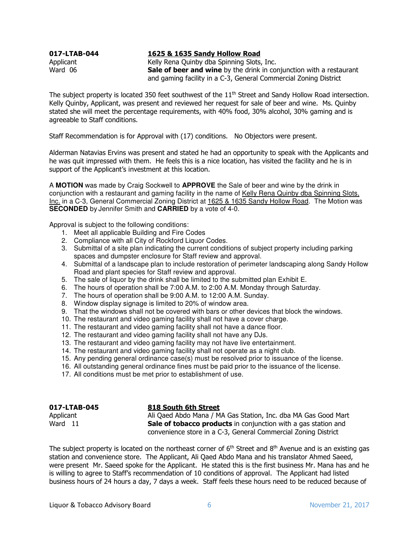## 017-LTAB-044 1625 & 1635 Sandy Hollow Road

Applicant **Australian Communist Relly Rena Quinby dba Spinning Slots, Inc.**<br> **Sale of beer and wine** by the drink in compare Sale of beer and wine by the drink in conjunction with a restaurant and gaming facility in a C-3, General Commercial Zoning District

The subject property is located 350 feet southwest of the 11<sup>th</sup> Street and Sandy Hollow Road intersection. Kelly Quinby, Applicant, was present and reviewed her request for sale of beer and wine. Ms. Quinby stated she will meet the percentage requirements, with 40% food, 30% alcohol, 30% gaming and is agreeable to Staff conditions.

Staff Recommendation is for Approval with (17) conditions. No Objectors were present.

Alderman Natavias Ervins was present and stated he had an opportunity to speak with the Applicants and he was quit impressed with them. He feels this is a nice location, has visited the facility and he is in support of the Applicant's investment at this location.

A **MOTION** was made by Craig Sockwell to **APPROVE** the Sale of beer and wine by the drink in conjunction with a restaurant and gaming facility in the name of Kelly Rena Quinby dba Spinning Slots, Inc. in a C-3, General Commercial Zoning District at 1625 & 1635 Sandy Hollow Road. The Motion was **SECONDED** by Jennifer Smith and **CARRIED** by a vote of 4-0.

Approval is subject to the following conditions:

- 1. Meet all applicable Building and Fire Codes
- 2. Compliance with all City of Rockford Liquor Codes.
- 3. Submittal of a site plan indicating the current conditions of subject property including parking spaces and dumpster enclosure for Staff review and approval.
- 4. Submittal of a landscape plan to include restoration of perimeter landscaping along Sandy Hollow Road and plant species for Staff review and approval.
- 5. The sale of liquor by the drink shall be limited to the submitted plan Exhibit E.
- 6. The hours of operation shall be 7:00 A.M. to 2:00 A.M. Monday through Saturday.
- 7. The hours of operation shall be 9:00 A.M. to 12:00 A.M. Sunday.
- 8. Window display signage is limited to 20% of window area.
- 9. That the windows shall not be covered with bars or other devices that block the windows.
- 10. The restaurant and video gaming facility shall not have a cover charge.
- 11. The restaurant and video gaming facility shall not have a dance floor.
- 12. The restaurant and video gaming facility shall not have any DJs.
- 13. The restaurant and video gaming facility may not have live entertainment.
- 14. The restaurant and video gaming facility shall not operate as a night club.
- 15. Any pending general ordinance case(s) must be resolved prior to issuance of the license.
- 16. All outstanding general ordinance fines must be paid prior to the issuance of the license.
- 17. All conditions must be met prior to establishment of use.

| 017-LTAB-045 | 818 South 6th Street                                                  |
|--------------|-----------------------------------------------------------------------|
| Applicant    | Ali Qaed Abdo Mana / MA Gas Station, Inc. dba MA Gas Good Mart        |
| Ward 11      | <b>Sale of tobacco products</b> in conjunction with a gas station and |
|              | convenience store in a C-3, General Commercial Zoning District        |

The subject property is located on the northeast corner of  $6<sup>th</sup>$  Street and  $8<sup>th</sup>$  Avenue and is an existing gas station and convenience store. The Applicant, Ali Qaed Abdo Mana and his translator Ahmed Saeed, were present Mr. Saeed spoke for the Applicant. He stated this is the first business Mr. Mana has and he is willing to agree to Staff's recommendation of 10 conditions of approval. The Applicant had listed business hours of 24 hours a day, 7 days a week. Staff feels these hours need to be reduced because of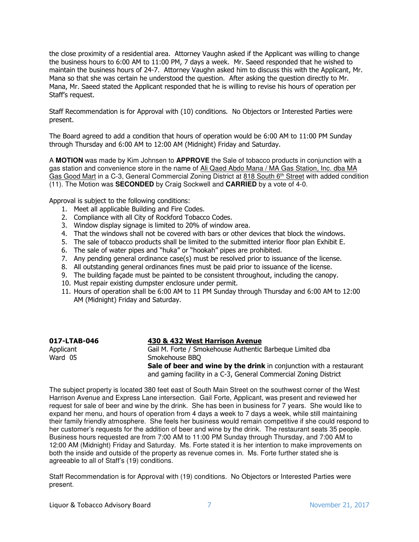the close proximity of a residential area. Attorney Vaughn asked if the Applicant was willing to change the business hours to 6:00 AM to 11:00 PM, 7 days a week. Mr. Saeed responded that he wished to maintain the business hours of 24-7. Attorney Vaughn asked him to discuss this with the Applicant, Mr. Mana so that she was certain he understood the question. After asking the question directly to Mr. Mana, Mr. Saeed stated the Applicant responded that he is willing to revise his hours of operation per Staff's request.

Staff Recommendation is for Approval with (10) conditions. No Objectors or Interested Parties were present.

The Board agreed to add a condition that hours of operation would be 6:00 AM to 11:00 PM Sunday through Thursday and 6:00 AM to 12:00 AM (Midnight) Friday and Saturday.

A **MOTION** was made by Kim Johnsen to **APPROVE** the Sale of tobacco products in conjunction with a gas station and convenience store in the name of Ali Qaed Abdo Mana / MA Gas Station, Inc. dba MA Gas Good Mart in a C-3, General Commercial Zoning District at 818 South 6th Street with added condition (11). The Motion was **SECONDED** by Craig Sockwell and **CARRIED** by a vote of 4-0.

Approval is subject to the following conditions:

- 1. Meet all applicable Building and Fire Codes.
- 2. Compliance with all City of Rockford Tobacco Codes.
- 3. Window display signage is limited to 20% of window area.
- 4. That the windows shall not be covered with bars or other devices that block the windows.
- 5. The sale of tobacco products shall be limited to the submitted interior floor plan Exhibit E.
- 6. The sale of water pipes and "huka" or "hookah" pipes are prohibited.
- 7. Any pending general ordinance case(s) must be resolved prior to issuance of the license.
- 8. All outstanding general ordinances fines must be paid prior to issuance of the license.
- 9. The building façade must be painted to be consistent throughout, including the canopy.
- 10. Must repair existing dumpster enclosure under permit.
- 11. Hours of operation shall be 6:00 AM to 11 PM Sunday through Thursday and 6:00 AM to 12:00 AM (Midnight) Friday and Saturday.

| 017-LTAB-046 | 430 & 432 West Harrison Avenue                                      |
|--------------|---------------------------------------------------------------------|
| Applicant    | Gail M. Forte / Smokehouse Authentic Barbeque Limited dba           |
| Ward 05      | Smokehouse BBO                                                      |
|              | Sale of beer and wine by the drink in conjunction with a restaurant |
|              | and gaming facility in a C-3, General Commercial Zoning District    |

The subject property is located 380 feet east of South Main Street on the southwest corner of the West Harrison Avenue and Express Lane intersection. Gail Forte, Applicant, was present and reviewed her request for sale of beer and wine by the drink. She has been in business for 7 years. She would like to expand her menu, and hours of operation from 4 days a week to 7 days a week, while still maintaining their family friendly atmosphere. She feels her business would remain competitive if she could respond to her customer's requests for the addition of beer and wine by the drink. The restaurant seats 35 people. Business hours requested are from 7:00 AM to 11:00 PM Sunday through Thursday, and 7:00 AM to 12:00 AM (Midnight) Friday and Saturday. Ms. Forte stated it is her intention to make improvements on both the inside and outside of the property as revenue comes in. Ms. Forte further stated she is agreeable to all of Staff's (19) conditions.

Staff Recommendation is for Approval with (19) conditions. No Objectors or Interested Parties were present.